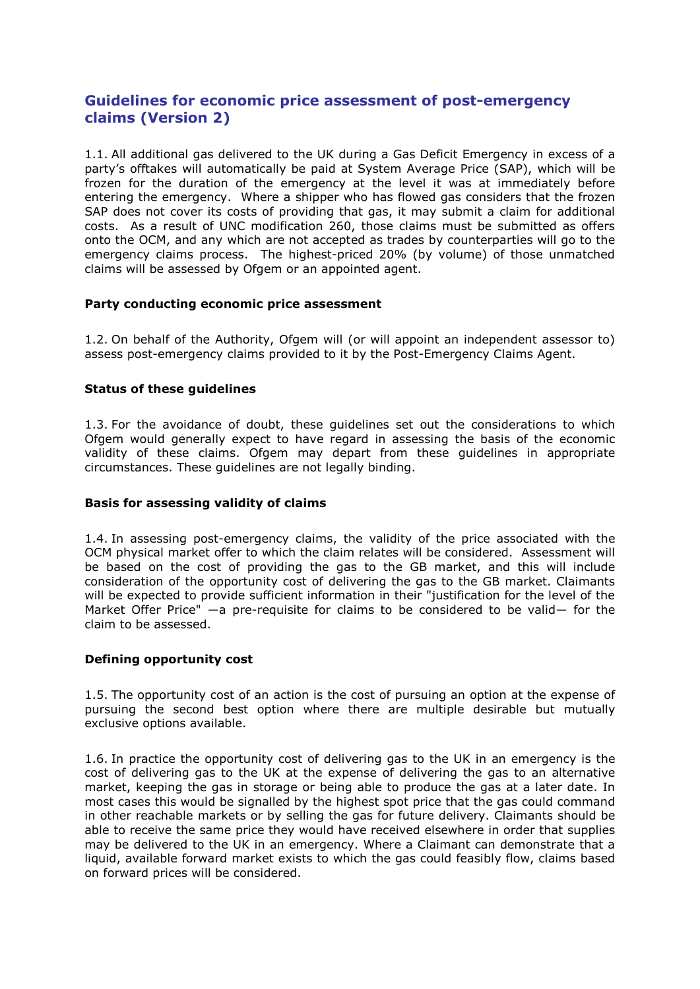# Guidelines for economic price assessment of post-emergency claims (Version 2)

1.1. All additional gas delivered to the UK during a Gas Deficit Emergency in excess of a party's offtakes will automatically be paid at System Average Price (SAP), which will be frozen for the duration of the emergency at the level it was at immediately before entering the emergency. Where a shipper who has flowed gas considers that the frozen SAP does not cover its costs of providing that gas, it may submit a claim for additional costs. As a result of UNC modification 260, those claims must be submitted as offers onto the OCM, and any which are not accepted as trades by counterparties will go to the emergency claims process. The highest-priced 20% (by volume) of those unmatched claims will be assessed by Ofgem or an appointed agent.

# Party conducting economic price assessment

1.2. On behalf of the Authority, Ofgem will (or will appoint an independent assessor to) assess post-emergency claims provided to it by the Post-Emergency Claims Agent.

# Status of these guidelines

1.3. For the avoidance of doubt, these guidelines set out the considerations to which Ofgem would generally expect to have regard in assessing the basis of the economic validity of these claims. Ofgem may depart from these guidelines in appropriate circumstances. These guidelines are not legally binding.

### Basis for assessing validity of claims

1.4. In assessing post-emergency claims, the validity of the price associated with the OCM physical market offer to which the claim relates will be considered. Assessment will be based on the cost of providing the gas to the GB market, and this will include consideration of the opportunity cost of delivering the gas to the GB market. Claimants will be expected to provide sufficient information in their "justification for the level of the Market Offer Price" —a pre-requisite for claims to be considered to be valid— for the claim to be assessed.

### Defining opportunity cost

1.5. The opportunity cost of an action is the cost of pursuing an option at the expense of pursuing the second best option where there are multiple desirable but mutually exclusive options available.

1.6. In practice the opportunity cost of delivering gas to the UK in an emergency is the cost of delivering gas to the UK at the expense of delivering the gas to an alternative market, keeping the gas in storage or being able to produce the gas at a later date. In most cases this would be signalled by the highest spot price that the gas could command in other reachable markets or by selling the gas for future delivery. Claimants should be able to receive the same price they would have received elsewhere in order that supplies may be delivered to the UK in an emergency. Where a Claimant can demonstrate that a liquid, available forward market exists to which the gas could feasibly flow, claims based on forward prices will be considered.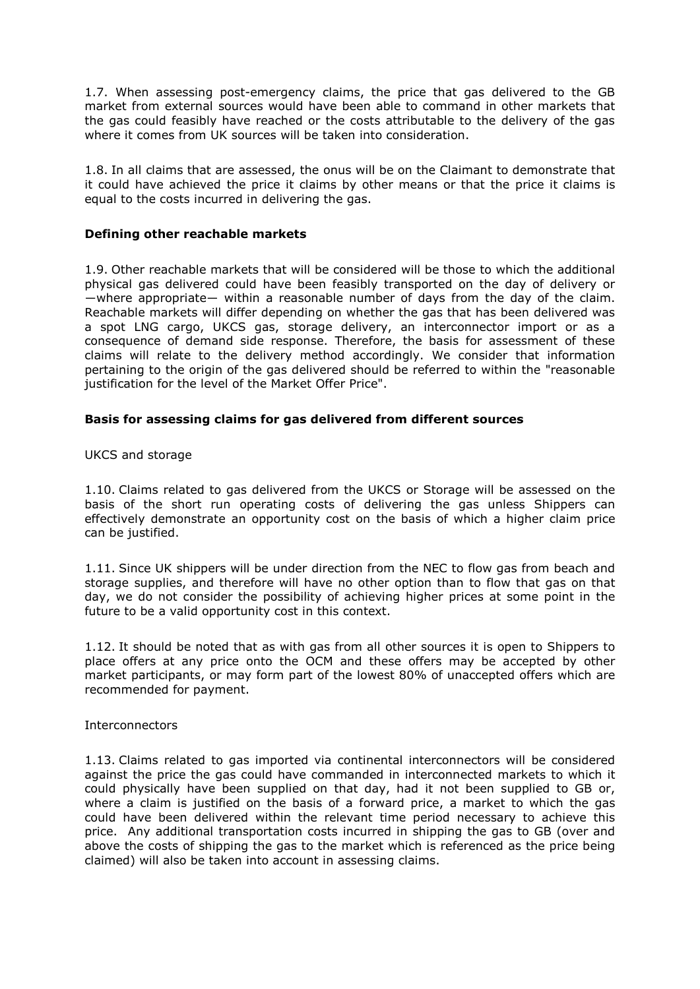1.7. When assessing post-emergency claims, the price that gas delivered to the GB market from external sources would have been able to command in other markets that the gas could feasibly have reached or the costs attributable to the delivery of the gas where it comes from UK sources will be taken into consideration.

1.8. In all claims that are assessed, the onus will be on the Claimant to demonstrate that it could have achieved the price it claims by other means or that the price it claims is equal to the costs incurred in delivering the gas.

# Defining other reachable markets

1.9. Other reachable markets that will be considered will be those to which the additional physical gas delivered could have been feasibly transported on the day of delivery or ―where appropriate― within a reasonable number of days from the day of the claim. Reachable markets will differ depending on whether the gas that has been delivered was a spot LNG cargo, UKCS gas, storage delivery, an interconnector import or as a consequence of demand side response. Therefore, the basis for assessment of these claims will relate to the delivery method accordingly. We consider that information pertaining to the origin of the gas delivered should be referred to within the "reasonable justification for the level of the Market Offer Price".

# Basis for assessing claims for gas delivered from different sources

UKCS and storage

1.10. Claims related to gas delivered from the UKCS or Storage will be assessed on the basis of the short run operating costs of delivering the gas unless Shippers can effectively demonstrate an opportunity cost on the basis of which a higher claim price can be justified.

1.11. Since UK shippers will be under direction from the NEC to flow gas from beach and storage supplies, and therefore will have no other option than to flow that gas on that day, we do not consider the possibility of achieving higher prices at some point in the future to be a valid opportunity cost in this context.

1.12. It should be noted that as with gas from all other sources it is open to Shippers to place offers at any price onto the OCM and these offers may be accepted by other market participants, or may form part of the lowest 80% of unaccepted offers which are recommended for payment.

### Interconnectors

1.13. Claims related to gas imported via continental interconnectors will be considered against the price the gas could have commanded in interconnected markets to which it could physically have been supplied on that day, had it not been supplied to GB or, where a claim is justified on the basis of a forward price, a market to which the gas could have been delivered within the relevant time period necessary to achieve this price. Any additional transportation costs incurred in shipping the gas to GB (over and above the costs of shipping the gas to the market which is referenced as the price being claimed) will also be taken into account in assessing claims.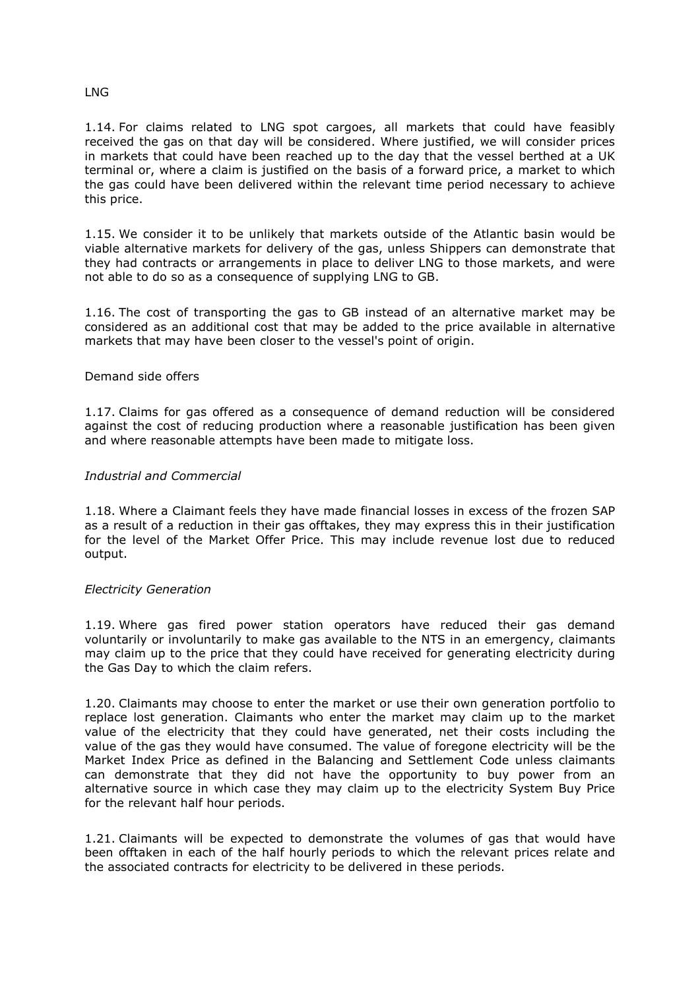### LNG

1.14. For claims related to LNG spot cargoes, all markets that could have feasibly received the gas on that day will be considered. Where justified, we will consider prices in markets that could have been reached up to the day that the vessel berthed at a UK terminal or, where a claim is justified on the basis of a forward price, a market to which the gas could have been delivered within the relevant time period necessary to achieve this price.

1.15. We consider it to be unlikely that markets outside of the Atlantic basin would be viable alternative markets for delivery of the gas, unless Shippers can demonstrate that they had contracts or arrangements in place to deliver LNG to those markets, and were not able to do so as a consequence of supplying LNG to GB.

1.16. The cost of transporting the gas to GB instead of an alternative market may be considered as an additional cost that may be added to the price available in alternative markets that may have been closer to the vessel's point of origin.

#### Demand side offers

1.17. Claims for gas offered as a consequence of demand reduction will be considered against the cost of reducing production where a reasonable justification has been given and where reasonable attempts have been made to mitigate loss.

#### Industrial and Commercial

1.18. Where a Claimant feels they have made financial losses in excess of the frozen SAP as a result of a reduction in their gas offtakes, they may express this in their justification for the level of the Market Offer Price. This may include revenue lost due to reduced output.

### Electricity Generation

1.19. Where gas fired power station operators have reduced their gas demand voluntarily or involuntarily to make gas available to the NTS in an emergency, claimants may claim up to the price that they could have received for generating electricity during the Gas Day to which the claim refers.

1.20. Claimants may choose to enter the market or use their own generation portfolio to replace lost generation. Claimants who enter the market may claim up to the market value of the electricity that they could have generated, net their costs including the value of the gas they would have consumed. The value of foregone electricity will be the Market Index Price as defined in the Balancing and Settlement Code unless claimants can demonstrate that they did not have the opportunity to buy power from an alternative source in which case they may claim up to the electricity System Buy Price for the relevant half hour periods.

1.21. Claimants will be expected to demonstrate the volumes of gas that would have been offtaken in each of the half hourly periods to which the relevant prices relate and the associated contracts for electricity to be delivered in these periods.